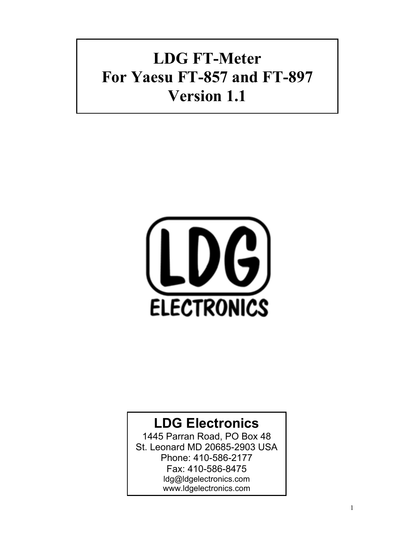# **LDG FT-Meter For Yaesu FT-857 and FT-897 Version 1.1**



## **LDG Electronics**

1445 Parran Road, PO Box 48 St. Leonard MD 20685-2903 USA Phone: 410-586-2177 Fax: 410-586-8475 ldg@ldgelectronics.com www.ldgelectronics.com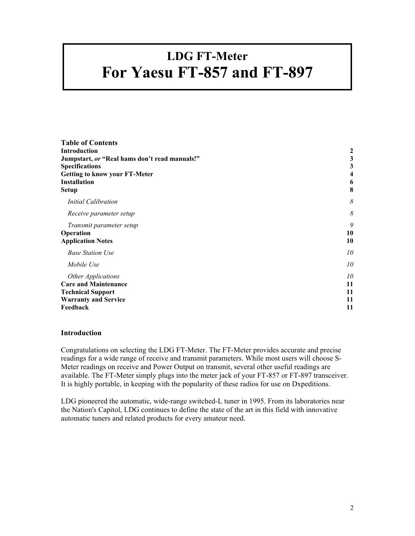# <span id="page-1-0"></span>**LDG FT-Meter For Yaesu FT-857 and FT-897**

| <b>Table of Contents</b>                      |    |
|-----------------------------------------------|----|
| <b>Introduction</b>                           | 2  |
| Jumpstart, or "Real hams don't read manuals!" | 3  |
| <b>Specifications</b>                         | 3  |
| <b>Getting to know your FT-Meter</b>          |    |
| <b>Installation</b>                           | 6  |
| Setup                                         | 8  |
| <b>Initial Calibration</b>                    | 8  |
| Receive parameter setup                       | 8  |
| Transmit parameter setup                      | 9  |
| Operation                                     | 10 |
| <b>Application Notes</b>                      | 10 |
| <b>Base Station Use</b>                       | 10 |
| Mobile Use                                    | 10 |
| Other Applications                            | 10 |
| <b>Care and Maintenance</b>                   | 11 |
| <b>Technical Support</b>                      | 11 |
| <b>Warranty and Service</b>                   | 11 |
| Feedback                                      | 11 |

#### **Introduction**

Congratulations on selecting the LDG FT-Meter. The FT-Meter provides accurate and precise readings for a wide range of receive and transmit parameters. While most users will choose S-Meter readings on receive and Power Output on transmit, several other useful readings are available. The FT-Meter simply plugs into the meter jack of your FT-857 or FT-897 transceiver. It is highly portable, in keeping with the popularity of these radios for use on Dxpeditions.

LDG pioneered the automatic, wide-range switched-L tuner in 1995. From its laboratories near the Nation's Capitol, LDG continues to define the state of the art in this field with innovative automatic tuners and related products for every amateur need.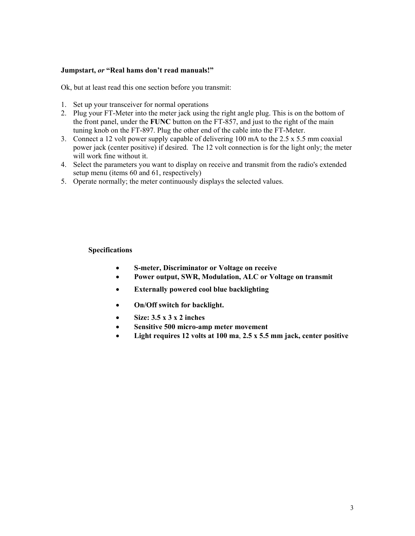#### <span id="page-2-0"></span>**Jumpstart,** *or* **"Real hams don't read manuals!"**

Ok, but at least read this one section before you transmit:

- 1. Set up your transceiver for normal operations
- 2. Plug your FT-Meter into the meter jack using the right angle plug. This is on the bottom of the front panel, under the **FUNC** button on the FT-857, and just to the right of the main tuning knob on the FT-897. Plug the other end of the cable into the FT-Meter.
- 3. Connect a 12 volt power supply capable of delivering 100 mA to the 2.5 x 5.5 mm coaxial power jack (center positive) if desired. The 12 volt connection is for the light only; the meter will work fine without it.
- 4. Select the parameters you want to display on receive and transmit from the radio's extended setup menu (items 60 and 61, respectively)
- 5. Operate normally; the meter continuously displays the selected values.

#### **Specifications**

- **S-meter, Discriminator or Voltage on receive**
- **Power output, SWR, Modulation, ALC or Voltage on transmit**
- **Externally powered cool blue backlighting**
- **On/Off switch for backlight.**
- **Size: 3.5 x 3 x 2 inches**
- **Sensitive 500 micro-amp meter movement**
- **Light requires 12 volts at 100 ma**, **2.5 x 5.5 mm jack, center positive**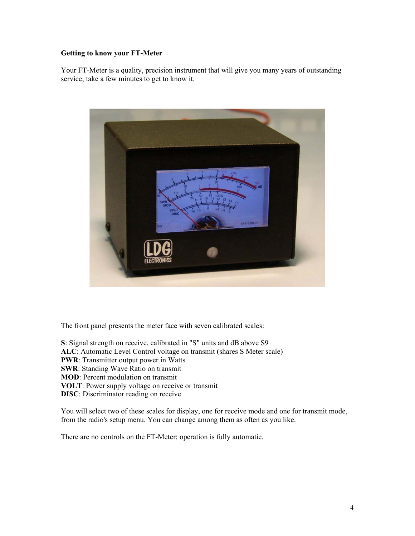#### <span id="page-3-0"></span>**Getting to know your FT-Meter**

Your FT-Meter is a quality, precision instrument that will give you many years of outstanding service; take a few minutes to get to know it.



The front panel presents the meter face with seven calibrated scales:

**S**: Signal strength on receive, calibrated in "S" units and dB above S9 **ALC**: Automatic Level Control voltage on transmit (shares S Meter scale) **PWR**: Transmitter output power in Watts **SWR**: Standing Wave Ratio on transmit **MOD**: Percent modulation on transmit **VOLT**: Power supply voltage on receive or transmit **DISC**: Discriminator reading on receive

You will select two of these scales for display, one for receive mode and one for transmit mode, from the radio's setup menu. You can change among them as often as you like.

There are no controls on the FT-Meter; operation is fully automatic.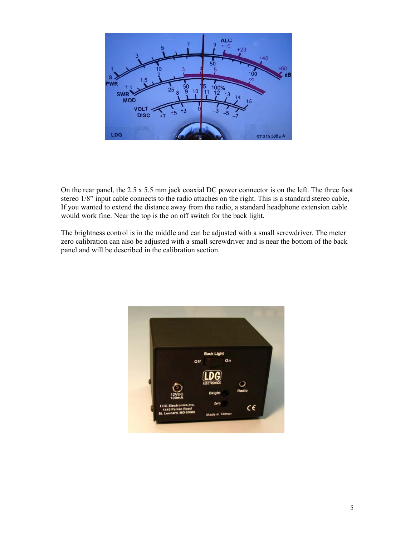

On the rear panel, the 2.5 x 5.5 mm jack coaxial DC power connector is on the left. The three foot stereo 1/8" input cable connects to the radio attaches on the right. This is a standard stereo cable, If you wanted to extend the distance away from the radio, a standard headphone extension cable would work fine. Near the top is the on off switch for the back light.

The brightness control is in the middle and can be adjusted with a small screwdriver. The meter zero calibration can also be adjusted with a small screwdriver and is near the bottom of the back panel and will be described in the calibration section.

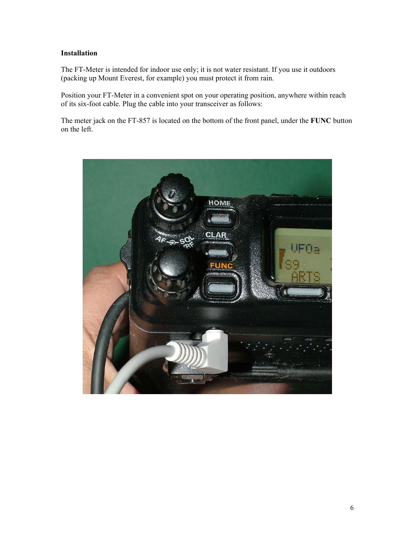#### <span id="page-5-0"></span>**Installation**

The FT-Meter is intended for indoor use only; it is not water resistant. If you use it outdoors (packing up Mount Everest, for example) you must protect it from rain.

Position your FT-Meter in a convenient spot on your operating position, anywhere within reach of its six-foot cable. Plug the cable into your transceiver as follows:

The meter jack on the FT-857 is located on the bottom of the front panel, under the **FUNC** button on the left.

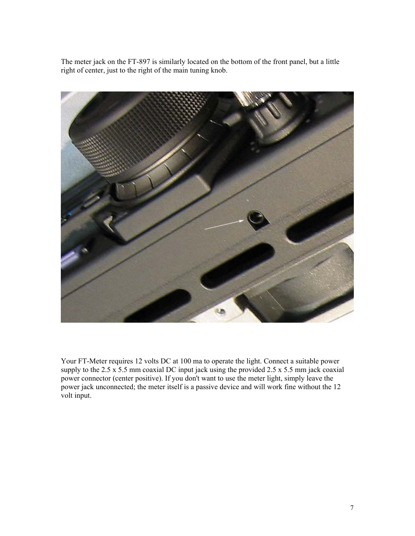The meter jack on the FT-897 is similarly located on the bottom of the front panel, but a little right of center, just to the right of the main tuning knob.



Your FT-Meter requires 12 volts DC at 100 ma to operate the light. Connect a suitable power supply to the 2.5 x 5.5 mm coaxial DC input jack using the provided 2.5 x 5.5 mm jack coaxial power connector (center positive). If you don't want to use the meter light, simply leave the power jack unconnected; the meter itself is a passive device and will work fine without the 12 volt input.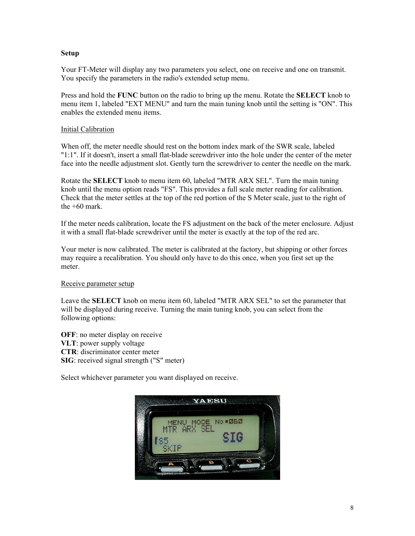#### <span id="page-7-0"></span>**Setup**

Your FT-Meter will display any two parameters you select, one on receive and one on transmit. You specify the parameters in the radio's extended setup menu.

Press and hold the **FUNC** button on the radio to bring up the menu. Rotate the **SELECT** knob to menu item 1, labeled "EXT MENU" and turn the main tuning knob until the setting is "ON". This enables the extended menu items.

#### Initial Calibration

When off, the meter needle should rest on the bottom index mark of the SWR scale, labeled "1:1". If it doesn't, insert a small flat-blade screwdriver into the hole under the center of the meter face into the needle adjustment slot. Gently turn the screwdriver to center the needle on the mark.

Rotate the **SELECT** knob to menu item 60, labeled "MTR ARX SEL". Turn the main tuning knob until the menu option reads "FS". This provides a full scale meter reading for calibration. Check that the meter settles at the top of the red portion of the S Meter scale, just to the right of the  $+60$  mark.

If the meter needs calibration, locate the FS adjustment on the back of the meter enclosure. Adjust it with a small flat-blade screwdriver until the meter is exactly at the top of the red arc.

Your meter is now calibrated. The meter is calibrated at the factory, but shipping or other forces may require a recalibration. You should only have to do this once, when you first set up the meter.

#### Receive parameter setup

Leave the **SELECT** knob on menu item 60, labeled "MTR ARX SEL" to set the parameter that will be displayed during receive. Turning the main tuning knob, you can select from the following options:

**OFF**: no meter display on receive **VLT**: power supply voltage **CTR**: discriminator center meter **SIG**: received signal strength ("S" meter)

Select whichever parameter you want displayed on receive.

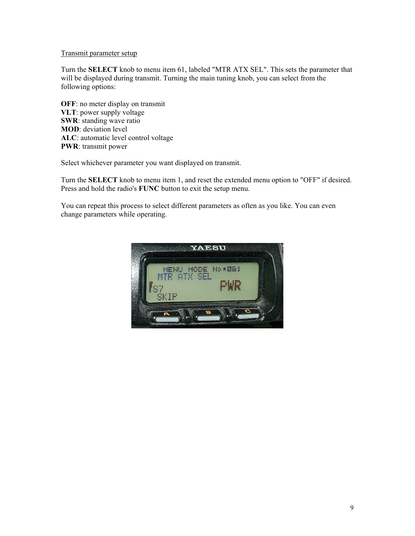### <span id="page-8-0"></span>Transmit parameter setup

Turn the **SELECT** knob to menu item 61, labeled "MTR ATX SEL". This sets the parameter that will be displayed during transmit. Turning the main tuning knob, you can select from the following options:

**OFF**: no meter display on transmit **VLT**: power supply voltage **SWR**: standing wave ratio **MOD**: deviation level **ALC**: automatic level control voltage **PWR**: transmit power

Select whichever parameter you want displayed on transmit.

Turn the **SELECT** knob to menu item 1, and reset the extended menu option to "OFF" if desired. Press and hold the radio's **FUNC** button to exit the setup menu.

You can repeat this process to select different parameters as often as you like. You can even change parameters while operating.

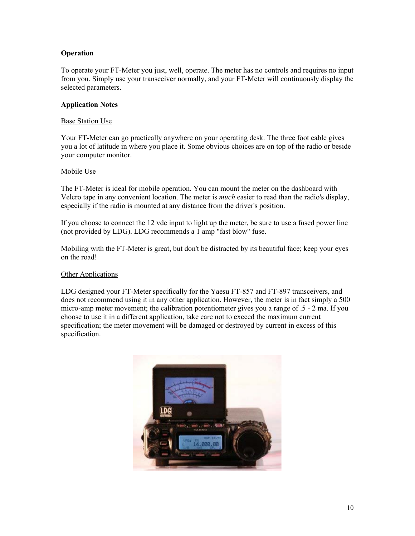### <span id="page-9-0"></span>**Operation**

To operate your FT-Meter you just, well, operate. The meter has no controls and requires no input from you. Simply use your transceiver normally, and your FT-Meter will continuously display the selected parameters.

#### **Application Notes**

#### Base Station Use

Your FT-Meter can go practically anywhere on your operating desk. The three foot cable gives you a lot of latitude in where you place it. Some obvious choices are on top of the radio or beside your computer monitor.

#### Mobile Use

The FT-Meter is ideal for mobile operation. You can mount the meter on the dashboard with Velcro tape in any convenient location. The meter is *much* easier to read than the radio's display, especially if the radio is mounted at any distance from the driver's position.

If you choose to connect the 12 vdc input to light up the meter, be sure to use a fused power line (not provided by LDG). LDG recommends a 1 amp "fast blow" fuse.

Mobiling with the FT-Meter is great, but don't be distracted by its beautiful face; keep your eyes on the road!

#### **Other Applications**

LDG designed your FT-Meter specifically for the Yaesu FT-857 and FT-897 transceivers, and does not recommend using it in any other application. However, the meter is in fact simply a 500 micro-amp meter movement; the calibration potentiometer gives you a range of .5 - 2 ma. If you choose to use it in a different application, take care not to exceed the maximum current specification; the meter movement will be damaged or destroyed by current in excess of this specification.